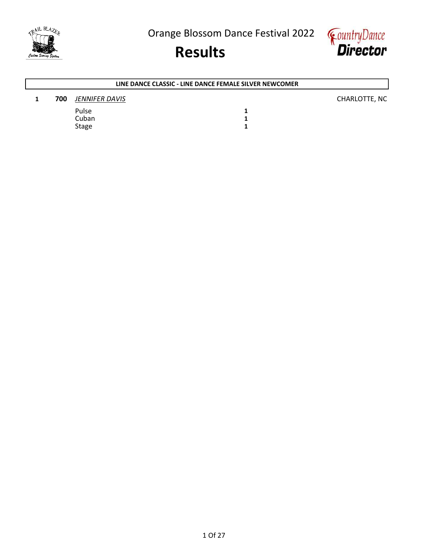



AIL BLAZED



### Results

### 1 700 JENNIFER DAVIS **DESIMINATION** CHARLOTTE, NC Pulse 1<br>Cuban 1 Cuban 1<br>Stage 1 Stage LINE DANCE CLASSIC - LINE DANCE FEMALE SILVER NEWCOMER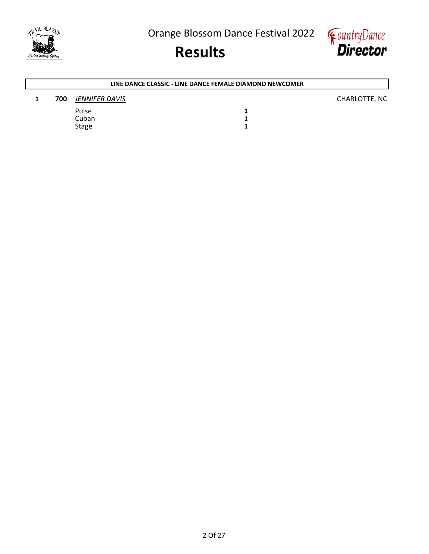





### 1 700 JENNIFER DAVIS **DESIMINATION** CHARLOTTE, NC Pulse 1<br>Cuban 1 Cuban 1<br>Stage 1 Stage LINE DANCE CLASSIC - LINE DANCE FEMALE DIAMOND NEWCOMER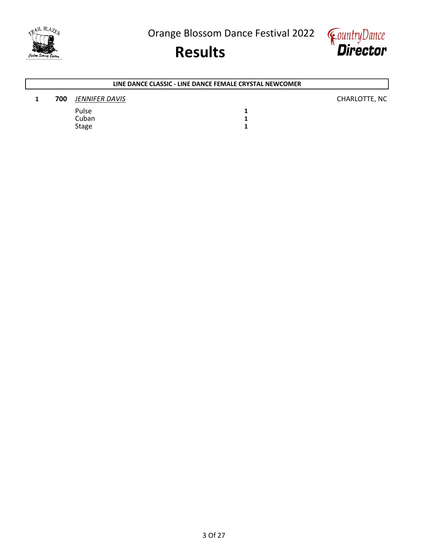





### 1 700 JENNIFER DAVIS **DESIMINATION** CHARLOTTE, NC Pulse 1<br>Cuban 1 Cuban 1<br>Stage 1 Stage LINE DANCE CLASSIC - LINE DANCE FEMALE CRYSTAL NEWCOMER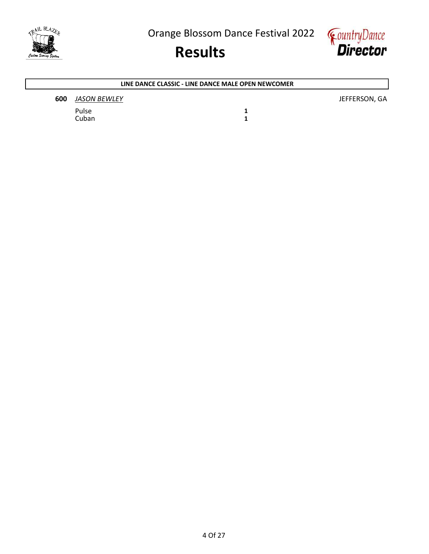



### **600** JASON BEWLEY **JEFFERSON, GA** Pulse 1<br>Cuban 1 Cuban LINE DANCE CLASSIC - LINE DANCE MALE OPEN NEWCOMER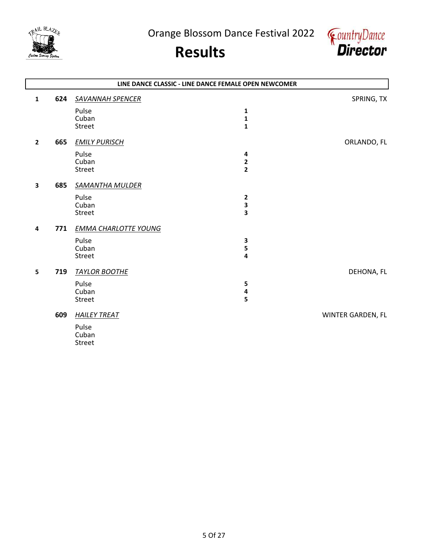



|                |     |                             | LINE DANCE CLASSIC - LINE DANCE FEMALE OPEN NEWCOMER |                   |
|----------------|-----|-----------------------------|------------------------------------------------------|-------------------|
| 1              | 624 | <b>SAVANNAH SPENCER</b>     |                                                      | SPRING, TX        |
|                |     | Pulse                       | 1                                                    |                   |
|                |     | Cuban                       | $\mathbf{1}$                                         |                   |
|                |     | Street                      | $\mathbf{1}$                                         |                   |
| $\overline{2}$ | 665 | <b>EMILY PURISCH</b>        |                                                      | ORLANDO, FL       |
|                |     | Pulse                       | 4                                                    |                   |
|                |     | Cuban                       | $\frac{2}{2}$                                        |                   |
|                |     | Street                      |                                                      |                   |
| 3              | 685 | <b>SAMANTHA MULDER</b>      |                                                      |                   |
|                |     | Pulse                       | 2                                                    |                   |
|                |     | Cuban                       | 3                                                    |                   |
|                |     | Street                      | $\overline{\mathbf{3}}$                              |                   |
| 4              | 771 | <b>EMMA CHARLOTTE YOUNG</b> |                                                      |                   |
|                |     | Pulse                       | 3                                                    |                   |
|                |     | Cuban                       | 5                                                    |                   |
|                |     | Street                      | 4                                                    |                   |
| 5              | 719 | <b>TAYLOR BOOTHE</b>        |                                                      | DEHONA, FL        |
|                |     | Pulse                       | 5                                                    |                   |
|                |     | Cuban                       | 4                                                    |                   |
|                |     | Street                      | 5                                                    |                   |
|                | 609 | <b>HAILEY TREAT</b>         |                                                      | WINTER GARDEN, FL |
|                |     | Pulse                       |                                                      |                   |
|                |     | Cuban                       |                                                      |                   |
|                |     | <b>Street</b>               |                                                      |                   |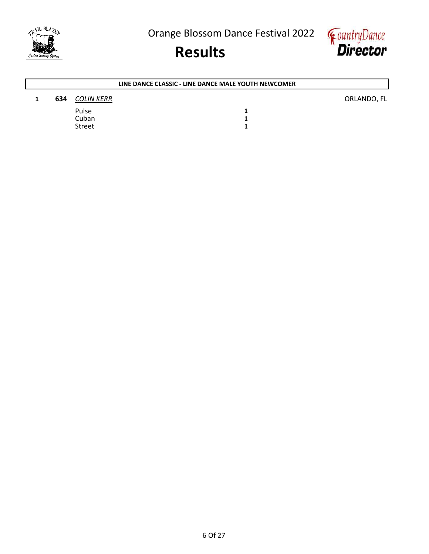



| LINE DANCE CLASSIC - LINE DANCE MALE YOUTH NEWCOMER |               |  |             |  |
|-----------------------------------------------------|---------------|--|-------------|--|
| 634                                                 | COLIN KERR    |  | ORLANDO, FL |  |
|                                                     | Pulse         |  |             |  |
|                                                     | Cuban         |  |             |  |
|                                                     | <b>Street</b> |  |             |  |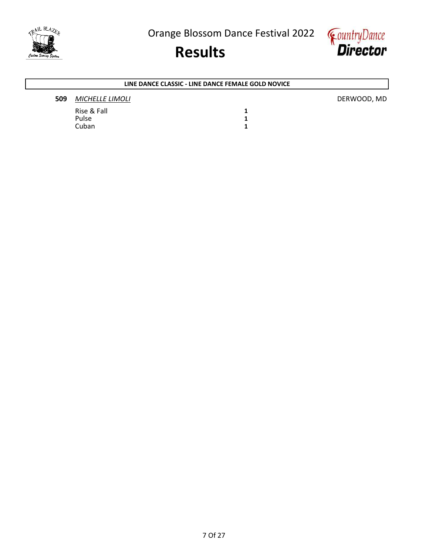





#### LINE DANCE CLASSIC - LINE DANCE FEMALE GOLD NOVICE

#### **509** MICHELLE LIMOLI **DERWOOD, MD**

Rise & Fall 1<br>Pulse 1 1 Pulse 1<br>Cuban 1 Cuban

AIL BLAZED

7 Of 27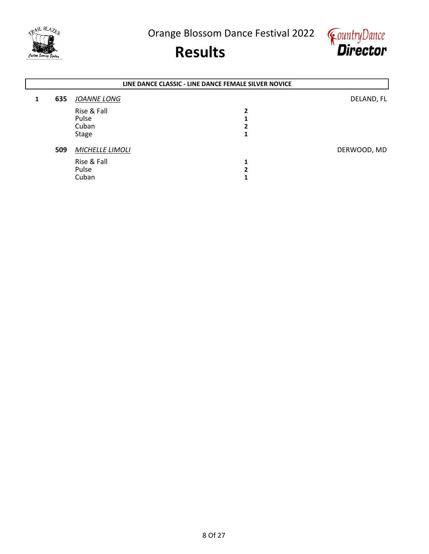



|   | LINE DANCE CLASSIC - LINE DANCE FEMALE SILVER NOVICE |                        |   |             |  |
|---|------------------------------------------------------|------------------------|---|-------------|--|
| 1 | 635                                                  | JOANNE LONG            |   | DELAND, FL  |  |
|   |                                                      | Rise & Fall            | 2 |             |  |
|   |                                                      | Pulse                  |   |             |  |
|   |                                                      | Cuban                  |   |             |  |
|   |                                                      | <b>Stage</b>           |   |             |  |
|   | 509                                                  | <b>MICHELLE LIMOLI</b> |   | DERWOOD, MD |  |
|   |                                                      | Rise & Fall            |   |             |  |
|   |                                                      | Pulse                  |   |             |  |
|   |                                                      | Cuban                  |   |             |  |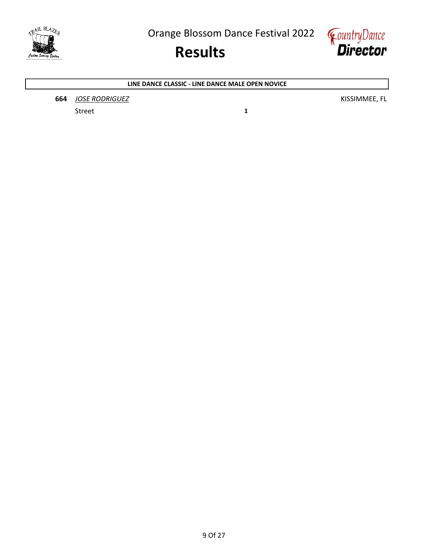



#### LINE DANCE CLASSIC - LINE DANCE MALE OPEN NOVICE

**664** JOSE RODRIGUEZ **KISSIMMEE, FL** 

Street 1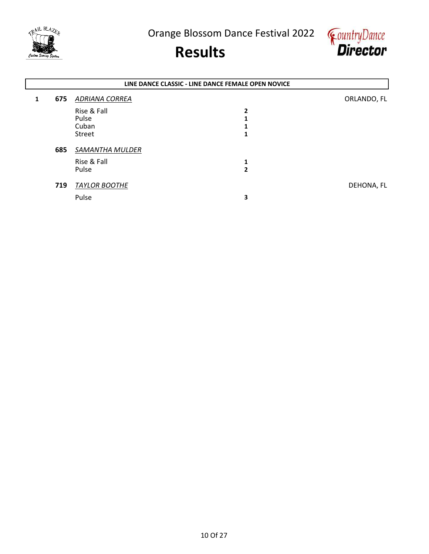



|   | LINE DANCE CLASSIC - LINE DANCE FEMALE OPEN NOVICE |                      |              |             |  |  |
|---|----------------------------------------------------|----------------------|--------------|-------------|--|--|
| 1 | 675                                                | ADRIANA CORREA       |              | ORLANDO, FL |  |  |
|   |                                                    | Rise & Fall          | 2            |             |  |  |
|   |                                                    | Pulse                |              |             |  |  |
|   |                                                    | Cuban                |              |             |  |  |
|   |                                                    | Street               | 1            |             |  |  |
|   | 685                                                | SAMANTHA MULDER      |              |             |  |  |
|   |                                                    | Rise & Fall          | 1            |             |  |  |
|   |                                                    | Pulse                | $\mathbf{2}$ |             |  |  |
|   |                                                    |                      |              |             |  |  |
|   | 719                                                | <b>TAYLOR BOOTHE</b> |              | DEHONA, FL  |  |  |
|   |                                                    | Pulse                | 3            |             |  |  |
|   |                                                    |                      |              |             |  |  |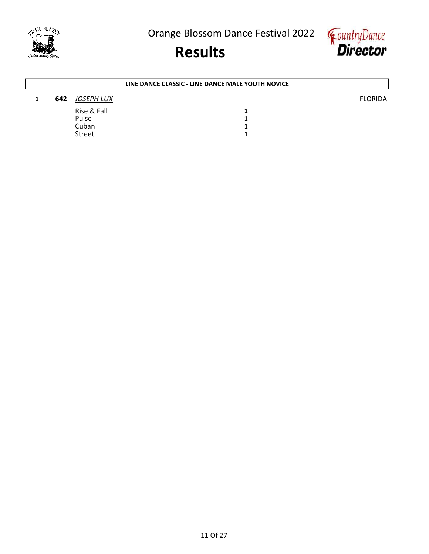



| LINE DANCE CLASSIC - LINE DANCE MALE YOUTH NOVICE |               |  |                |  |
|---------------------------------------------------|---------------|--|----------------|--|
| 642                                               | JOSEPH LUX    |  | <b>FLORIDA</b> |  |
|                                                   | Rise & Fall   |  |                |  |
|                                                   | Pulse         |  |                |  |
|                                                   | Cuban         |  |                |  |
|                                                   | <b>Street</b> |  |                |  |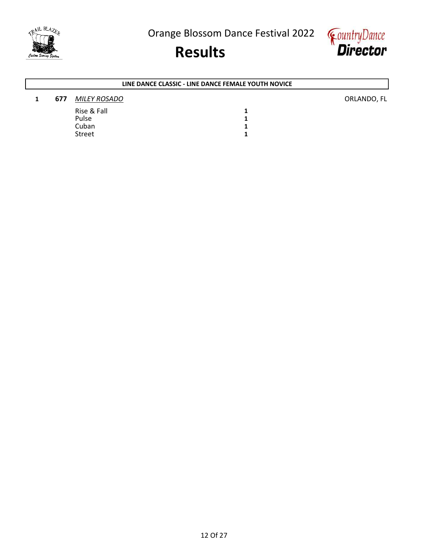





#### 1 677 MILEY ROSADO **ORLANDO, FL** Rise & Fall 1<br>Pulse 1 1 Pulse 1<br>Cuban 1 Cuban 1<br>Street 1 Street LINE DANCE CLASSIC - LINE DANCE FEMALE YOUTH NOVICE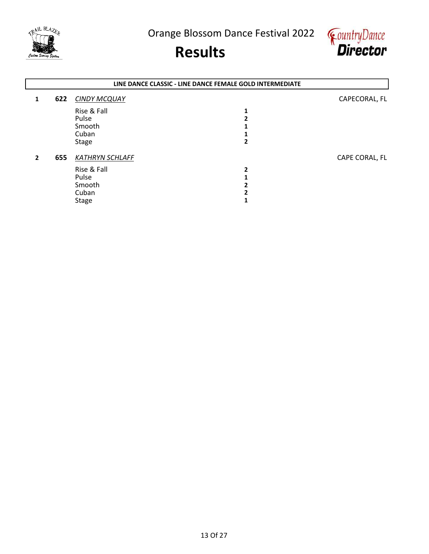



|              | LINE DANCE CLASSIC - LINE DANCE FEMALE GOLD INTERMEDIATE |                        |   |                |  |
|--------------|----------------------------------------------------------|------------------------|---|----------------|--|
| 1            | 622                                                      | <b>CINDY MCQUAY</b>    |   | CAPECORAL, FL  |  |
|              |                                                          | Rise & Fall            |   |                |  |
|              |                                                          | Pulse                  |   |                |  |
|              |                                                          | Smooth                 |   |                |  |
|              |                                                          | Cuban                  |   |                |  |
|              |                                                          | <b>Stage</b>           |   |                |  |
| $\mathbf{2}$ | 655                                                      | <b>KATHRYN SCHLAFF</b> |   | CAPE CORAL, FL |  |
|              |                                                          | Rise & Fall            | 2 |                |  |
|              |                                                          | Pulse                  |   |                |  |
|              |                                                          | Smooth                 |   |                |  |
|              |                                                          | Cuban                  |   |                |  |
|              |                                                          | <b>Stage</b>           |   |                |  |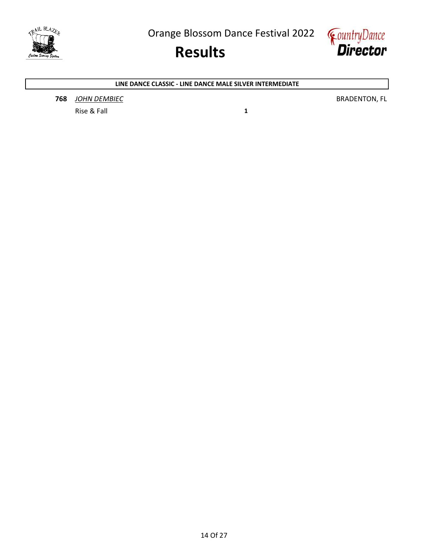



LINE DANCE CLASSIC - LINE DANCE MALE SILVER INTERMEDIATE

**768** JOHN DEMBIEC **BRADENTON, FL** 

Rise & Fall 1 and 1 and 1 and 1 and 1 and 1 and 1 and 1 and 1 and 1 and 1 and 1 and 1 and 1 and 1 and 1 and 1 and 1 and 1 and 1 and 1 and 1 and 1 and 1 and 1 and 1 and 1 and 1 and 1 and 1 and 1 and 1 and 1 and 1 and 1 and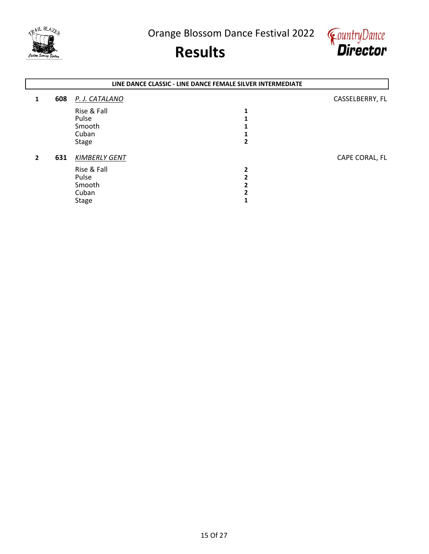



|                | LINE DANCE CLASSIC - LINE DANCE FEMALE SILVER INTERMEDIATE |                      |   |                 |  |
|----------------|------------------------------------------------------------|----------------------|---|-----------------|--|
| 1              | 608                                                        | P. J. CATALANO       |   | CASSELBERRY, FL |  |
|                |                                                            | Rise & Fall          |   |                 |  |
|                |                                                            | Pulse                |   |                 |  |
|                |                                                            | Smooth               |   |                 |  |
|                |                                                            | Cuban                |   |                 |  |
|                |                                                            | <b>Stage</b>         |   |                 |  |
| $\overline{2}$ | 631                                                        | <b>KIMBERLY GENT</b> |   | CAPE CORAL, FL  |  |
|                |                                                            | Rise & Fall          | 2 |                 |  |
|                |                                                            | Pulse                |   |                 |  |
|                |                                                            | Smooth               |   |                 |  |
|                |                                                            | Cuban                |   |                 |  |
|                |                                                            | <b>Stage</b>         |   |                 |  |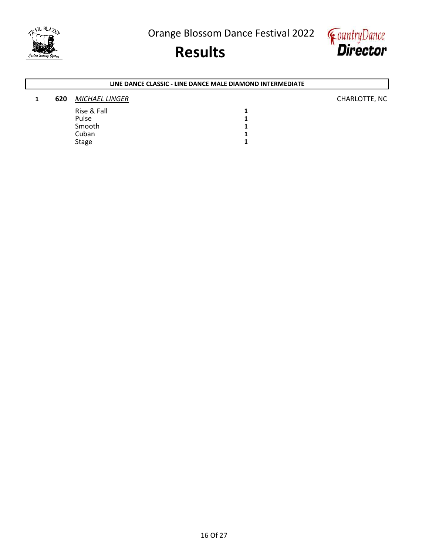

### Results



#### 1 620 MICHAEL LINGER CHARLOTTE, NC Rise & Fall 1<br>Pulse 1 Pulse 2012 2022 2022 2023 2024 2022 2022 2023 2024 2022 2023 2024 2022 2023 2024 2022 2023 2024 2023 2024 2023 Smooth 1<br>Cuban 1 Cuban 1<br>Stage 1 Stage 2012 and 2012 and 2012 and 2012 and 2012 and 2012 and 2012 and 2012 and 2012 and 2012 and 2013 and 2013 LINE DANCE CLASSIC - LINE DANCE MALE DIAMOND INTERMEDIATE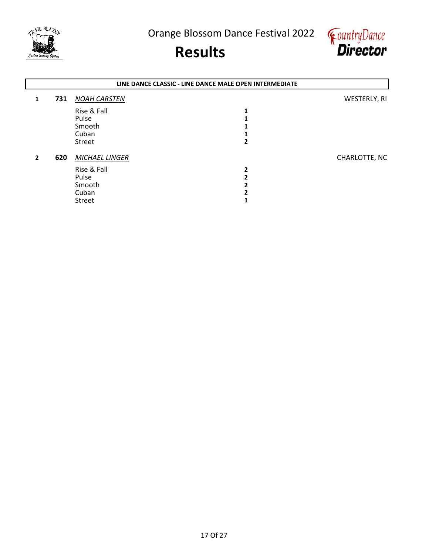



|                | LINE DANCE CLASSIC - LINE DANCE MALE OPEN INTERMEDIATE |                     |   |               |  |
|----------------|--------------------------------------------------------|---------------------|---|---------------|--|
| 1              | 731                                                    | <b>NOAH CARSTEN</b> |   | WESTERLY, RI  |  |
|                |                                                        | Rise & Fall         |   |               |  |
|                |                                                        | Pulse               |   |               |  |
|                |                                                        | Smooth              |   |               |  |
|                |                                                        | Cuban               |   |               |  |
|                |                                                        | Street              |   |               |  |
| $\overline{2}$ | 620                                                    | MICHAEL LINGER      |   | CHARLOTTE, NC |  |
|                |                                                        | Rise & Fall         | 2 |               |  |
|                |                                                        | Pulse               |   |               |  |
|                |                                                        | Smooth              |   |               |  |
|                |                                                        | Cuban               |   |               |  |
|                |                                                        | <b>Street</b>       |   |               |  |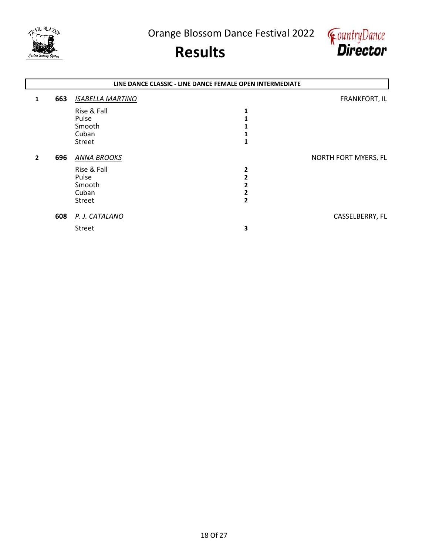



|                | LINE DANCE CLASSIC - LINE DANCE FEMALE OPEN INTERMEDIATE |                         |   |                      |  |  |
|----------------|----------------------------------------------------------|-------------------------|---|----------------------|--|--|
| 1              | 663                                                      | <b>ISABELLA MARTINO</b> |   | <b>FRANKFORT, IL</b> |  |  |
|                |                                                          | Rise & Fall             | 1 |                      |  |  |
|                |                                                          | Pulse                   |   |                      |  |  |
|                |                                                          | Smooth                  |   |                      |  |  |
|                |                                                          | Cuban                   |   |                      |  |  |
|                |                                                          | Street                  |   |                      |  |  |
| $\overline{2}$ | 696                                                      | <b>ANNA BROOKS</b>      |   | NORTH FORT MYERS, FL |  |  |
|                |                                                          | Rise & Fall             | 2 |                      |  |  |
|                |                                                          | Pulse                   |   |                      |  |  |
|                |                                                          | Smooth                  |   |                      |  |  |
|                |                                                          | Cuban                   |   |                      |  |  |
|                |                                                          | Street                  | 2 |                      |  |  |
|                | 608                                                      | P. J. CATALANO          |   | CASSELBERRY, FL      |  |  |
|                |                                                          | Street                  | 3 |                      |  |  |
|                |                                                          |                         |   |                      |  |  |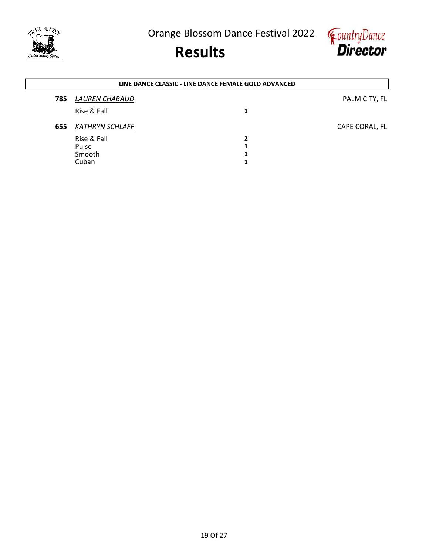



|     | LINE DANCE CLASSIC - LINE DANCE FEMALE GOLD ADVANCED |   |                |  |  |
|-----|------------------------------------------------------|---|----------------|--|--|
| 785 | LAUREN CHABAUD                                       |   | PALM CITY, FL  |  |  |
|     | Rise & Fall                                          | 1 |                |  |  |
| 655 | <b>KATHRYN SCHLAFF</b>                               |   | CAPE CORAL, FL |  |  |
|     | Rise & Fall                                          | 2 |                |  |  |
|     | Pulse                                                | 1 |                |  |  |
|     | Smooth                                               | 1 |                |  |  |
|     | Cuban                                                | 1 |                |  |  |
|     |                                                      |   |                |  |  |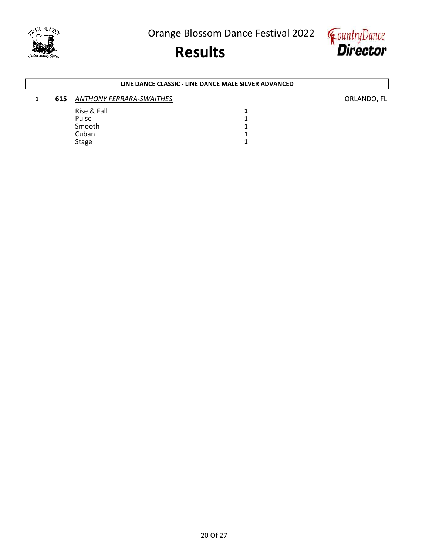

### Results



### 1 615 ANTHONY FERRARA-SWAITHES **CONSERVANT AND ARRIVE CONSERVANT AND ARRIVE CONSERVANT AND ARRIVE CONSERVANT ACCORDING CONSERVANT AND ARRIVE CONSERVANT AND ARRIVE CONSERVANT AND ARRIVE CONSERVANT ACCORDING ORLANDO, FL** LINE DANCE CLASSIC - LINE DANCE MALE SILVER ADVANCED

| -- | A            |  |
|----|--------------|--|
|    | Rise & Fall  |  |
|    | Pulse        |  |
|    | Smooth       |  |
|    | Cuban        |  |
|    | <b>Stage</b> |  |
|    |              |  |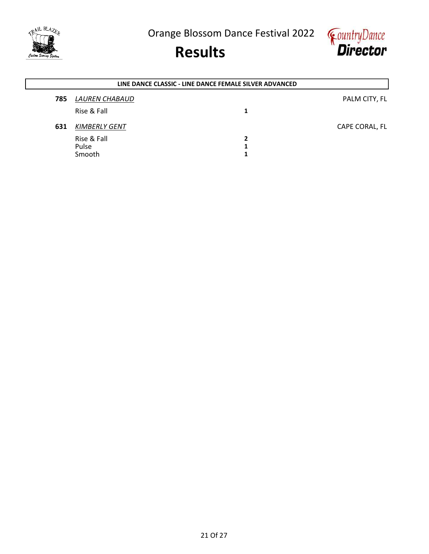



|     | LINE DANCE CLASSIC - LINE DANCE FEMALE SILVER ADVANCED |  |                |  |  |
|-----|--------------------------------------------------------|--|----------------|--|--|
| 785 | LAUREN CHABAUD                                         |  | PALM CITY, FL  |  |  |
|     | Rise & Fall                                            |  |                |  |  |
| 631 | <b>KIMBERLY GENT</b>                                   |  | CAPE CORAL, FL |  |  |
|     | Rise & Fall                                            |  |                |  |  |
|     | Pulse<br>Smooth                                        |  |                |  |  |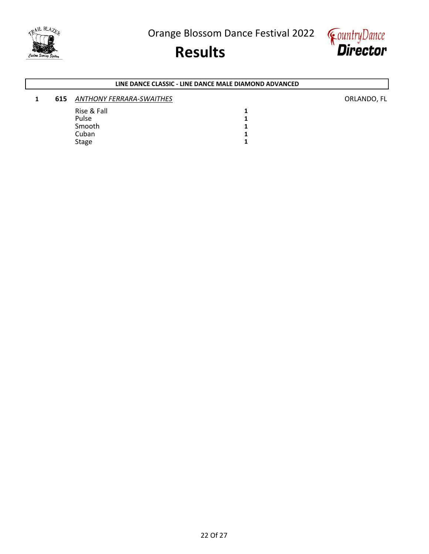

# Results



#### LINE DANCE CLASSIC - LINE DANCE MALE DIAMOND ADVANCED

### 1 615 ANTHONY FERRARA-SWAITHES **ANTHONY FERRARA-SWAITHES** Rise & Fall 1<br>Pulse 1 Pulse 2012 2022 2022 2023 2024 2022 2022 2023 2024 2022 2023 2024 2022 2023 2024 2022 2023 2024 2023 2024 2023 Smooth 1<br>Cuban 1 Cuban 1<br>Stage 1

Stage 2012 and 2012 and 2012 and 2012 and 2012 and 2012 and 2012 and 2012 and 2012 and 2012 and 2013 and 2013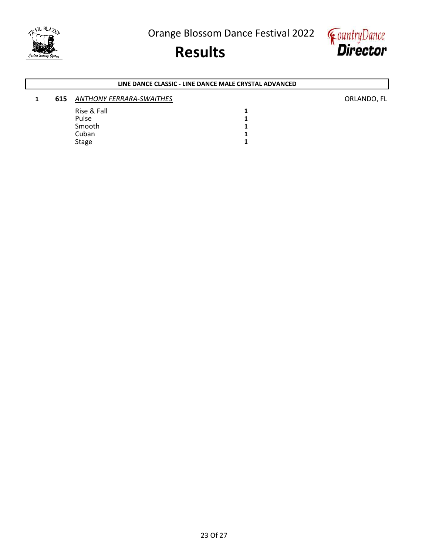

# Results



#### LINE DANCE CLASSIC - LINE DANCE MALE CRYSTAL ADVANCED

### 1 615 ANTHONY FERRARA-SWAITHES **ANTHONY FERRARA-SWAITHES** Rise & Fall 1<br>Pulse 1 Pulse 2012 2022 2022 2023 2024 2022 2022 2023 2024 2022 2023 2024 2022 2023 2024 2022 2023 2024 2023 2024 2023 Smooth 1<br>Cuban 1 Cuban 1<br>Stage 1

Stage 2012 and 2012 and 2012 and 2012 and 2012 and 2012 and 2012 and 2012 and 2012 and 2012 and 2013 and 2013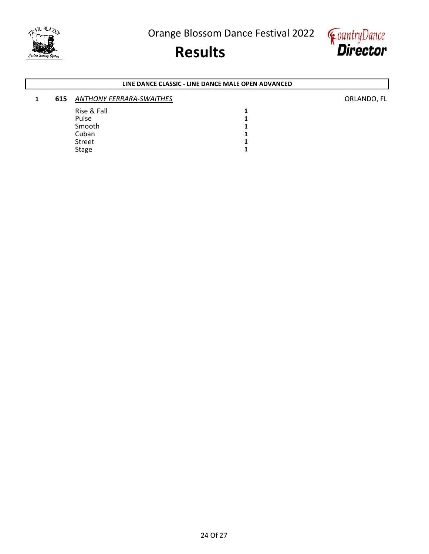

### Results



#### LINE DANCE CLASSIC - LINE DANCE MALE OPEN ADVANCED

#### 1 615 ANTHONY FERRARA-SWAITHES **ANTHONY FERRARA-SWAITHES** Rise & Fall 1<br>Pulse 1 Pulse 2012 2022 2022 2023 2024 2022 2022 2023 2024 2022 2023 2024 2022 2023 2024 2022 2023 2024 2023 2024 2023 Smooth 1<br>Cuban 1 Cuban 1<br>Street 1 Street 1<br>Stage 1 Stage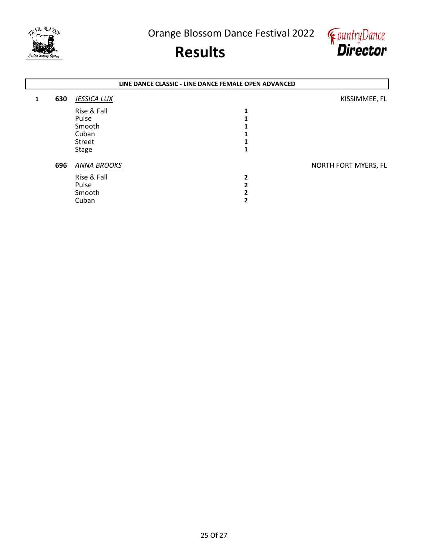



|   |     |                    | LINE DANCE CLASSIC - LINE DANCE FEMALE OPEN ADVANCED |                      |
|---|-----|--------------------|------------------------------------------------------|----------------------|
| 1 | 630 | <b>JESSICA LUX</b> |                                                      | KISSIMMEE, FL        |
|   |     | Rise & Fall        |                                                      |                      |
|   |     | Pulse              |                                                      |                      |
|   |     | Smooth             |                                                      |                      |
|   |     | Cuban              |                                                      |                      |
|   |     | Street             |                                                      |                      |
|   |     | <b>Stage</b>       |                                                      |                      |
|   | 696 | <b>ANNA BROOKS</b> |                                                      | NORTH FORT MYERS, FL |
|   |     | Rise & Fall        | 2                                                    |                      |
|   |     | Pulse              |                                                      |                      |
|   |     | Smooth             |                                                      |                      |
|   |     | Cuban              |                                                      |                      |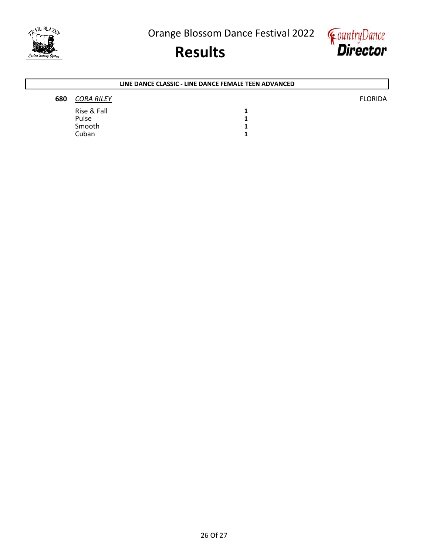



٦

| LINE DANCE CLASSIC - LINE DANCE FEMALE TEEN ADVANCED |                   |  |                |  |  |  |  |
|------------------------------------------------------|-------------------|--|----------------|--|--|--|--|
| 680                                                  | <b>CORA RILEY</b> |  | <b>FLORIDA</b> |  |  |  |  |
|                                                      | Rise & Fall       |  |                |  |  |  |  |
|                                                      | Pulse             |  |                |  |  |  |  |
|                                                      | Smooth            |  |                |  |  |  |  |
|                                                      | Cuban             |  |                |  |  |  |  |

TRAIL BLAZER